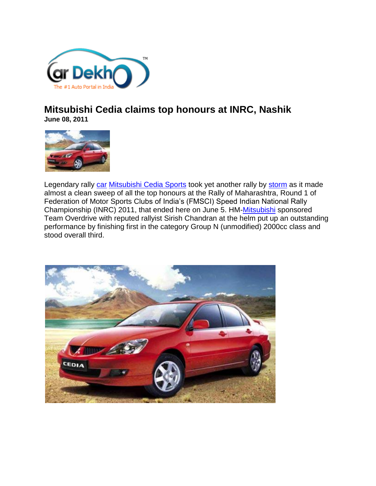

## **Mitsubishi Cedia claims top honours at INRC, Nashik June 08, 2011**



Legendary rally [car](http://www.cardekho.com/) [Mitsubishi Cedia Sports](http://www.cardekho.com/overview/Mitsubishi_Cedia/Mitsubishi_Cedia_Sports.htm) took yet another rally by [storm](http://www.cardekho.com/carmodels/San_Motors/Storm) as it made almost a clean sweep of all the top honours at the Rally of Maharashtra, Round 1 of Federation of Motor Sports Clubs of India's (FMSCI) Speed Indian National Rally Championship (INRC) 2011, that ended here on June 5. HM[-Mitsubishi](http://www.cardekho.com/cars/Mitsubishi) sponsored Team Overdrive with reputed rallyist Sirish Chandran at the helm put up an outstanding performance by finishing first in the category Group N (unmodified) 2000cc class and stood overall third.